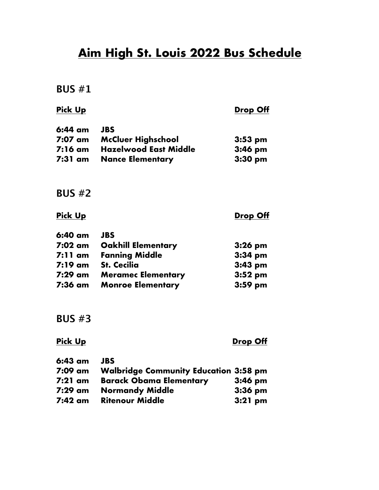# **Aim High St. Louis 2022 Bus Schedule**

**BUS #1**

| <u>Pick Up</u>    |                              | <u>Drop Off</u> |
|-------------------|------------------------------|-----------------|
| $6:44 \text{ cm}$ | <b>JBS</b>                   |                 |
| 7:07 am           | <b>McCluer Highschool</b>    | $3:53$ pm       |
| $7:16$ am         | <b>Hazelwood East Middle</b> | $3:46$ pm       |
| 7:31 am           | <b>Nance Elementary</b>      | $3:30$ pm       |
| BUS $#2$          |                              |                 |
| <u>Pick Up</u>    |                              | <u>Drop Off</u> |
| $6:40$ am         | <b>JBS</b>                   |                 |
| $7:02$ am         | <b>Oakhill Elementary</b>    | $3:26$ pm       |
| $7:11$ am         | <b>Fanning Middle</b>        | $3:34$ pm       |
| $7:19 \text{ cm}$ | <b>St. Cecilia</b>           | $3:43$ pm       |
| 7:29 am           | <b>Meramec Elementary</b>    | $3:52$ pm       |
| 7:36 am           | <b>Monroe Elementary</b>     | $3:59$ pm       |
|                   |                              |                 |

**BUS #3**

# **Pick Up Drop Off**

| 6:43 am   | <b>JBS</b>                                   |           |
|-----------|----------------------------------------------|-----------|
| 7:09 am   | <b>Walbridge Community Education 3:58 pm</b> |           |
| $7:21$ am | <b>Barack Obama Elementary</b>               | $3:46$ pm |
| 7:29 am   | <b>Normandy Middle</b>                       | $3:36$ pm |
| 7:42 am   | <b>Ritenour Middle</b>                       | $3:21$ pm |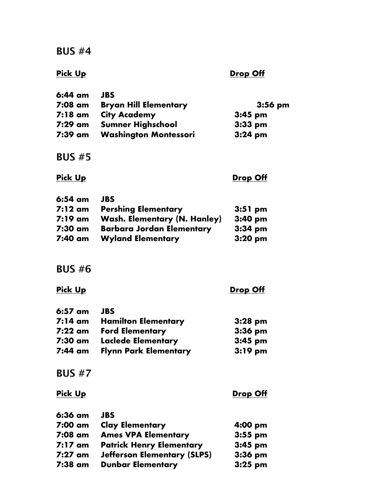**BUS #4**

# **Pick Up Drop Off**

| 6:44 am | <b>JBS</b>                   |           |
|---------|------------------------------|-----------|
| 7:08 am | <b>Bryan Hill Elementary</b> | $3:56$ pm |
| 7:18 am | <b>City Academy</b>          | $3:45$ pm |
| 7:29 am | <b>Sumner Highschool</b>     | $3:33$ pm |
| 7:39 am | <b>Washington Montessori</b> | $3:24$ pm |

## **BUS #5**

### **Pick Up Drop Off**

| 6:54 am | <b>JBS</b>                          |                   |
|---------|-------------------------------------|-------------------|
| 7:12 am | <b>Pershing Elementary</b>          | $3:51$ pm         |
| 7:19 am | <b>Wash. Elementary (N. Hanley)</b> | $3:40 \text{ pm}$ |
| 7:30 am | <b>Barbara Jordan Elementary</b>    | $3:34$ pm         |
| 7:40 am | <b>Wyland Elementary</b>            | $3:20$ pm         |

# **BUS #6**

# **Pick Up Drop Off**

| <b>JBS</b>                   |           |
|------------------------------|-----------|
| <b>Hamilton Elementary</b>   | $3:28$ pm |
| <b>Ford Elementary</b>       | $3:36$ pm |
| <b>Laclede Elementary</b>    | $3:45$ pm |
| <b>Flynn Park Elementary</b> | $3:19$ pm |
|                              |           |

# **BUS #7**

**Pick Up Drop Off** 

| 6:36 am   | <b>JBS</b>                         |           |
|-----------|------------------------------------|-----------|
| 7:00 am   | <b>Clay Elementary</b>             | 4:00 pm   |
| 7:08 am   | <b>Ames VPA Elementary</b>         | $3:55$ pm |
| $7:17$ am | <b>Patrick Henry Elementary</b>    | $3:45$ pm |
| $7:27$ am | <b>Jefferson Elementary (SLPS)</b> | $3:36$ pm |
| 7:38 am   | <b>Dunbar Elementary</b>           | $3:25$ pm |